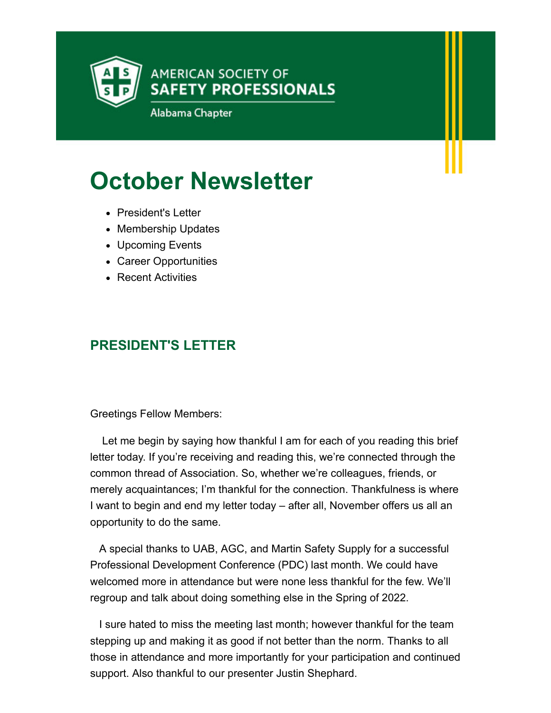

# **October Newsletter**

- President's Letter
- Membership Updates
- Upcoming Events
- Career Opportunities
- Recent Activities

## **PRESIDENT'S LETTER**

Greetings Fellow Members:

 Let me begin by saying how thankful I am for each of you reading this brief letter today. If you're receiving and reading this, we're connected through the common thread of Association. So, whether we're colleagues, friends, or merely acquaintances; I'm thankful for the connection. Thankfulness is where I want to begin and end my letter today – after all, November offers us all an opportunity to do the same.

 A special thanks to UAB, AGC, and Martin Safety Supply for a successful Professional Development Conference (PDC) last month. We could have welcomed more in attendance but were none less thankful for the few. We'll regroup and talk about doing something else in the Spring of 2022.

 I sure hated to miss the meeting last month; however thankful for the team stepping up and making it as good if not better than the norm. Thanks to all those in attendance and more importantly for your participation and continued support. Also thankful to our presenter Justin Shephard.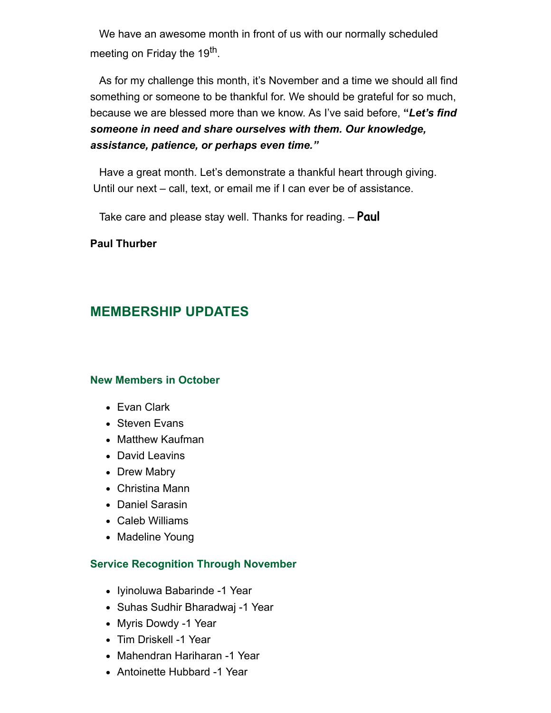We have an awesome month in front of us with our normally scheduled meeting on Friday the 19<sup>th</sup>.

 As for my challenge this month, it's November and a time we should all find something or someone to be thankful for. We should be grateful for so much, because we are blessed more than we know. As I've said before, **"***Let's find someone in need and share ourselves with them. Our knowledge, assistance, patience, or perhaps even time."*

 Have a great month. Let's demonstrate a thankful heart through giving. Until our next – call, text, or email me if I can ever be of assistance.

Take care and please stay well. Thanks for reading. – **Paul**

### **Paul Thurber**

### **MEMBERSHIP UPDATES**

#### **New Members in October**

- Evan Clark
- Steven Evans
- Matthew Kaufman
- David Leavins
- Drew Mabry
- Christina Mann
- Daniel Sarasin
- Caleb Williams
- Madeline Young

#### **Service Recognition Through November**

- Iyinoluwa Babarinde -1 Year
- Suhas Sudhir Bharadwaj -1 Year
- Myris Dowdy -1 Year
- Tim Driskell -1 Year
- Mahendran Hariharan -1 Year
- Antoinette Hubbard -1 Year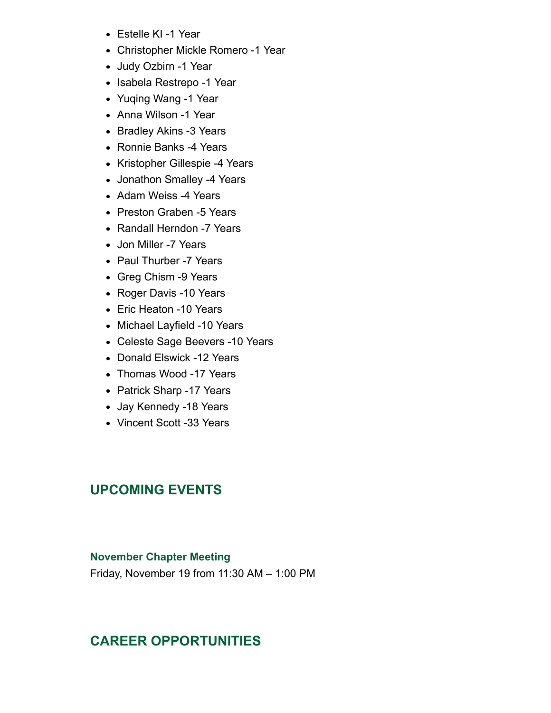- Estelle KI -1 Year
- Christopher Mickle Romero -1 Year
- Judy Ozbirn -1 Year
- Isabela Restrepo -1 Year
- Yuqing Wang -1 Year
- Anna Wilson -1 Year
- Bradley Akins -3 Years
- Ronnie Banks -4 Years
- Kristopher Gillespie -4 Years
- Jonathon Smalley -4 Years
- Adam Weiss -4 Years
- Preston Graben -5 Years
- Randall Herndon -7 Years
- Jon Miller -7 Years
- Paul Thurber -7 Years
- Greg Chism -9 Years
- Roger Davis -10 Years
- Eric Heaton -10 Years
- Michael Layfield -10 Years
- Celeste Sage Beevers -10 Years
- Donald Elswick -12 Years
- Thomas Wood -17 Years
- Patrick Sharp -17 Years
- Jay Kennedy -18 Years
- Vincent Scott -33 Years

### **UPCOMING EVENTS**

#### **November Chapter Meeting**

Friday, November 19 from 11:30 AM – 1:00 PM

### **CAREER OPPORTUNITIES**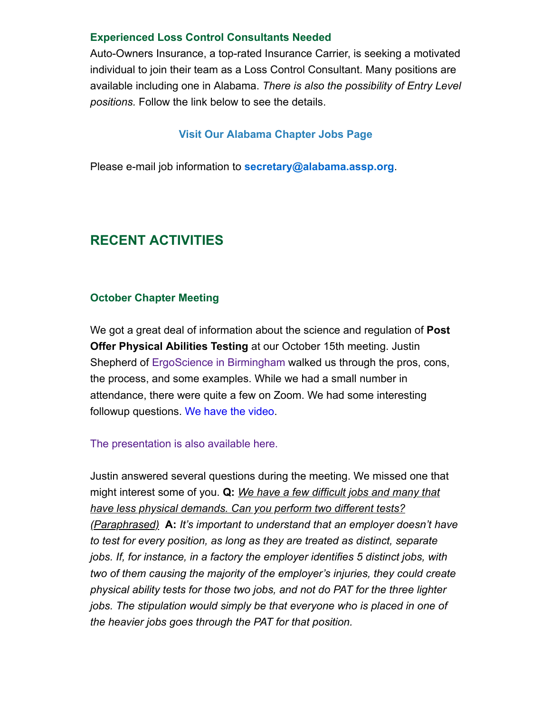### **Experienced Loss Control Consultants Needed**

Auto-Owners Insurance, a top-rated Insurance Carrier, is seeking a motivated individual to join their team as a Loss Control Consultant. Many positions are available including one in Alabama. *There is also the possibility of Entry Level positions.* Follow the link below to see the details.

### **[Visit Our Alabama Chapter](https://alabama.assp.org/current-openings/) Jobs Page**

Please e-mail job information to **[secretary@alabama.assp.org](mailto:info@southtexas.asse.org)**.

# **RECENT ACTIVITIES**

### **October Chapter Meeting**

We got a great deal of information about the science and regulation of **Post Offer Physical Abilities Testing** at our October 15th meeting. Justin Shepherd of [ErgoScience in Birmingham](https://www.ergoscience.com/) walked us through the pros, cons, the process, and some examples. While we had a small number in attendance, there were quite a few on Zoom. We had some interesting followup questions. [We have the video.](https://zoom.us/rec/share/y3YmV0p7LjuWIETih6PdpbVk06idh3hNZz73NX6JR2nKWtFxmG5bv_VqLVQuoS4R.gKbFaC1xb5w2DogG?startTime=1634314982000)

#### [The presentation is also available here.](https://alabama.assp.org/wp-content/uploads/sites/344/2021/11/20211015-Al-ASSP-Meeting-Presentation-Legally-Compliant-PAT-ASSP.pdf)

Justin answered several questions during the meeting. We missed one that might interest some of you. **Q:** *We have a few difficult jobs and many that have less physical demands. Can you perform two different tests? (Paraphrased)* **A:** *It's important to understand that an employer doesn't have to test for every position, as long as they are treated as distinct, separate jobs. If, for instance, in a factory the employer identifies 5 distinct jobs, with two of them causing the majority of the employer's injuries, they could create physical ability tests for those two jobs, and not do PAT for the three lighter jobs. The stipulation would simply be that everyone who is placed in one of the heavier jobs goes through the PAT for that position.*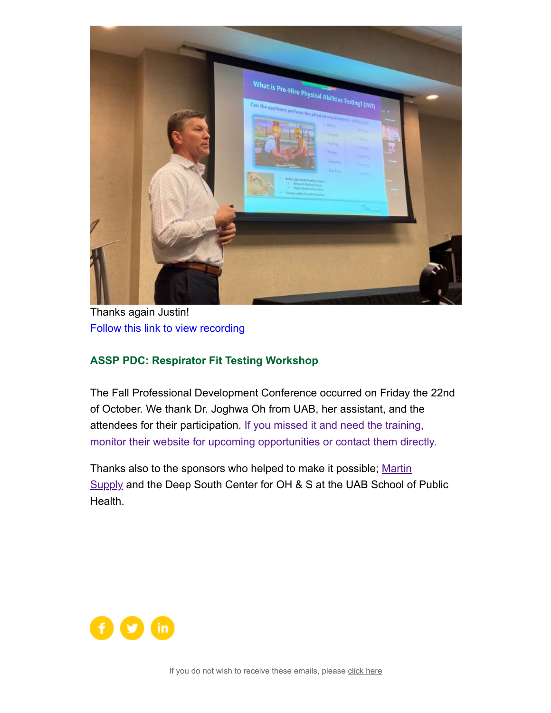

Thanks again Justin! [Follow this link to view recording](https://zoom.us/rec/share/y3YmV0p7LjuWIETih6PdpbVk06idh3hNZz73NX6JR2nKWtFxmG5bv_VqLVQuoS4R.gKbFaC1xb5w2DogG?startTime=1634314982000)

### **ASSP PDC: Respirator Fit Testing Workshop**

The Fall Professional Development Conference occurred on Friday the 22nd of October. We thank Dr. Joghwa Oh from UAB, her assistant, and the attendees for their participation. If you missed it and need the training, [monitor their website for upcoming opportunities or contact them directly.](https://sites.uab.edu/dsc/continuing-education-events/)

[Thanks also to the sponsors who helped to make it possible;](https://martinsupply.com/solutions/safety-solutions/?utm_source=Google&utm_medium=cpc&utm_campaign=Safety&utm_term=&gclid=CjwKCAjwy7CKBhBMEiwA0Eb7aoDYkQ5UdYiPhxd2vkB9UjNSgznuK58-N_oyuZ7N8wINwpAcY-gbYxoCiqsQAvD_BwE) Martin Supply and the Deep South Center for OH & S at the UAB School of Public Health.